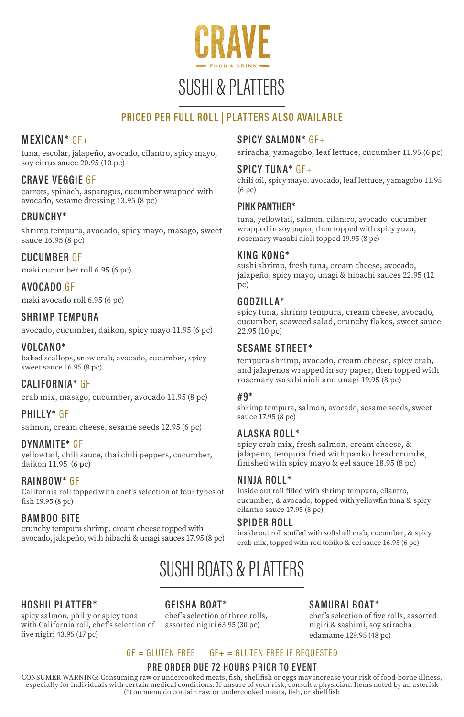

# SUSHI & PLATTERS

# PRICED PER FULL ROLL | PLATTERS ALSO AVAILABLE

# MEXICAN\* GF+

tuna, escolar, jalapeño, avocado, cilantro, spicy mayo, soy citrus sauce 20.95 (10 pc)

### CRAVE VEGGIE GF

carrots, spinach, asparagus, cucumber wrapped with avocado, sesame dressing 13.95 (8 pc)

### CRUNCHY\*

shrimp tempura, avocado, spicy mayo, masago, sweet sauce 16.95 (8 pc)

### CUCUMBER GF

maki cucumber roll 6.95 (6 pc)

#### AVOCADO GF

maki avocado roll 6.95 (6 pc)

#### SHRIMP TEMPURA

avocado, cucumber, daikon, spicy mayo 11.95 (6 pc)

#### VOLCANO\*

baked scallops, snow crab, avocado, cucumber, spicy sweet sauce 16.95 (8 pc)

### CALIFORNIA\* GF

crab mix, masago, cucumber, avocado 11.95 (8 pc)

#### PHILLY\* GF

salmon, cream cheese, sesame seeds 12.95 (6 pc)

#### DYNAMITE\* GF

yellowtail, chili sauce, thai chili peppers, cucumber, daikon 11.95 (6 pc)

#### RAINBOW\* GF

California roll topped with chef's selection of four types of fish 19.95 (8 pc)

#### BAMBOO BITE

crunchy tempura shrimp, cream cheese topped with avocado, jalapeño, with hibachi & unagi sauces 17.95 (8 pc)

### SPICY SALMON\* GF+

sriracha, yamagobo, leaf lettuce, cucumber 11.95 (6 pc)

#### SPICY TUNA\* GF+

chili oil, spicy mayo, avocado, leaf lettuce, yamagobo 11.95 (6 pc)

#### PINK PANTHER\*

tuna, yellowtail, salmon, cilantro, avocado, cucumber wrapped in soy paper, then topped with spicy yuzu, rosemary wasabi aioli topped 19.95 (8 pc)

#### KING KONG\*

sushi shrimp, fresh tuna, cream cheese, avocado, jalapeño, spicy mayo, unagi & hibachi sauces 22.95 (12 pc)

#### GODZILLA\*

spicy tuna, shrimp tempura, cream cheese, avocado, cucumber, seaweed salad, crunchy flakes, sweet sauce 22.95 (10 pc)

### SESAME STREET\*

tempura shrimp, avocado, cream cheese, spicy crab, and jalapenos wrapped in soy paper, then topped with rosemary wasabi aioli and unagi 19.95 (8 pc)

#### #9\*

shrimp tempura, salmon, avocado, sesame seeds, sweet sauce 17.95 (8 pc)

#### ALASKA ROLL\*

spicy crab mix, fresh salmon, cream cheese, & jalapeno, tempura fried with panko bread crumbs, finished with spicy mayo & eel sauce 18.95 (8 pc)

#### NINJA ROLL\*

inside out roll filled with shrimp tempura, cilantro, cucumber, & avocado, topped with yellowfin tuna & spicy cilantro sauce 17.95 (8 pc)

#### SPIDER ROLL

inside out roll stuffed with softshell crab, cucumber, & spicy crab mix, topped with red tobiko & eel sauce 16.95 (6 pc)

# SUSHI BOATS & PLATTERS

#### HOSHII PLATTER\*

spicy salmon, philly or spicy tuna with California roll, chef's selection of five nigiri 43.95 (17 pc)

GEISHA BOAT\* chef's selection of three rolls, assorted nigiri 63.95 (30 pc)

#### SAMURAI BOAT\*

chef's selection of five rolls, assorted nigiri & sashimi, soy sriracha edamame 129.95 (48 pc)

#### $GF = GI UTFN FRFF = GF += GI UTFN FRFF IF RFOUFSTFD$

#### PRE ORDER DUE 72 HOURS PRIOR TO EVENT

CONSUMER WARNING: Consuming raw or undercooked meats, fish, shellfish or eggs may increase your risk of food-borne illness, especially for individuals with certain medical conditions. If unsure of your risk, consult a physician. Items noted by an asterisk<br>(\*) on menu do contain raw or undercooked meats, fish, or shellfish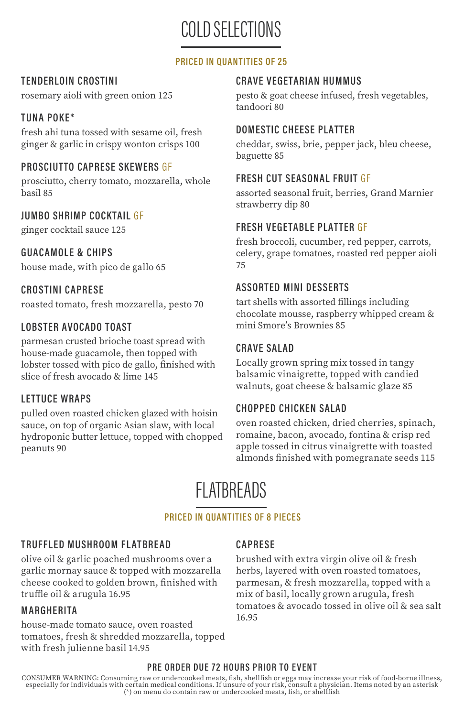COLD SELECTIONS

### PRICED IN QUANTITIES OF 25

## TENDERLOIN CROSTINI

rosemary aioli with green onion 125

## TUNA POKE\*

fresh ahi tuna tossed with sesame oil, fresh ginger & garlic in crispy wonton crisps 100

## PROSCIUTTO CAPRESE SKEWERS GF

prosciutto, cherry tomato, mozzarella, whole basil 85

### JUMBO SHRIMP COCKTAIL GF

ginger cocktail sauce 125

### GUACAMOLE & CHIPS

house made, with pico de gallo 65

## CROSTINI CAPRESE

roasted tomato, fresh mozzarella, pesto 70

### LOBSTER AVOCADO TOAST

parmesan crusted brioche toast spread with house-made guacamole, then topped with lobster tossed with pico de gallo, finished with slice of fresh avocado & lime 145

### LETTUCE WRAPS

pulled oven roasted chicken glazed with hoisin sauce, on top of organic Asian slaw, with local hydroponic butter lettuce, topped with chopped peanuts 90

#### CRAVE VEGETARIAN HUMMUS

pesto & goat cheese infused, fresh vegetables, tandoori 80

### DOMESTIC CHEESE PLATTER

cheddar, swiss, brie, pepper jack, bleu cheese, baguette 85

### FRESH CUT SEASONAL FRUIT GF

assorted seasonal fruit, berries, Grand Marnier strawberry dip 80

### FRESH VEGETABLE PLATTER GF

fresh broccoli, cucumber, red pepper, carrots, celery, grape tomatoes, roasted red pepper aioli 75

### ASSORTED MINI DESSERTS

tart shells with assorted fillings including chocolate mousse, raspberry whipped cream & mini Smore's Brownies 85

### CRAVE SALAD

Locally grown spring mix tossed in tangy balsamic vinaigrette, topped with candied walnuts, goat cheese & balsamic glaze 85

# CHOPPED CHICKEN SALAD

oven roasted chicken, dried cherries, spinach, romaine, bacon, avocado, fontina & crisp red apple tossed in citrus vinaigrette with toasted almonds finished with pomegranate seeds 115

# FLATBREADS

#### PRICED IN QUANTITIES OF 8 PIECES

#### TRUFFLED MUSHROOM FLATBREAD

olive oil & garlic poached mushrooms over a garlic mornay sauce & topped with mozzarella cheese cooked to golden brown, finished with truffle oil & arugula 16.95

#### **MARGHERITA**

house-made tomato sauce, oven roasted tomatoes, fresh & shredded mozzarella, topped with fresh julienne basil 14.95

### CAPRESE

brushed with extra virgin olive oil & fresh herbs, layered with oven roasted tomatoes, parmesan, & fresh mozzarella, topped with a mix of basil, locally grown arugula, fresh tomatoes & avocado tossed in olive oil & sea salt 16.95

#### PRE ORDER DUE 72 HOURS PRIOR TO EVENT

CONSUMER WARNING: Consuming raw or undercooked meats, fish, shellfish or eggs may increase your risk of food-borne illness,<br>especially for individuals with certain medical conditions. If unsure of your risk, consult a phys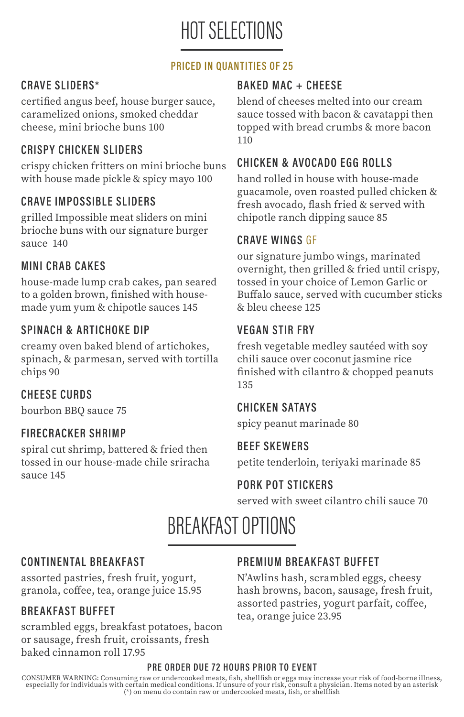# HOT SELECTIONS

# PRICED IN QUANTITIES OF 25

# CRAVE SLIDERS\*

certified angus beef, house burger sauce, caramelized onions, smoked cheddar cheese, mini brioche buns 100

# CRISPY CHICK EN SLIDERS

crispy chicken fritters on mini brioche buns with house made pickle & spicy mayo 100

# CRAVE IMPOSSIBLE SLIDERS

grilled Impossible meat sliders on mini brioche buns with our signature burger sauce 140

# **MINI CRAB CAKES**

house-made lump crab cakes, pan seared to a golden brown, finished with housemade yum yum & chipotle sauces 145

# SPINACH & ARTICHOKE DIP

creamy oven baked blend of artichokes, spinach, & parmesan, served with tortilla chips 90

# CHEESE CURDS

bourbon BBQ sauce 75

# FIRECRACKER SHRIMP

spiral cut shrimp, battered & fried then tossed in our house-made chile sriracha sauce 145

# BAKED MAC + CHEESE

blend of cheeses melted into our cream sauce tossed with bacon & cavatappi then topped with bread crumbs & more bacon 110

# CHICKEN & AVOCADO EGG ROLLS

hand rolled in house with house-made guacamole, oven roasted pulled chicken & fresh avocado, flash fried & served with chipotle ranch dipping sauce 85

# CRAVE WINGS GF

our signature jumbo wings, marinated overnight, then grilled & fried until crispy, tossed in your choice of Lemon Garlic or Buffalo sauce, served with cucumber sticks & bleu cheese 125

# VEGAN STIR FRY

fresh vegetable medley sautéed with soy chili sauce over coconut jasmine rice finished with cilantro & chopped peanuts 135

# CHICKEN SATAYS

spicy peanut marinade 80

# **BEEF SKEWERS**

petite tenderloin, teriyaki marinade 85

# PORK POT STICKERS

served with sweet cilantro chili sauce 70

# BREAKFAST OPTIONS

# CONTINENTAL BREAKFAST

assorted pastries, fresh fruit, yogurt, granola, coffee, tea, orange juice 15.95

# BREAKFAST BUFFET

scrambled eggs, breakfast potatoes, bacon or sausage, fresh fruit, croissants, fresh baked cinnamon roll 17.95

# PREMIUM BREAKFAST BUFFET

N'Awlins hash, scrambled eggs, cheesy hash browns, bacon, sausage, fresh fruit, assorted pastries, yogurt parfait, coffee, tea, orange juice 23.95

### PRE ORDER DUE 72 HOURS PRIOR TO EVENT

CONSUMER WARNING: Consuming raw or undercooked meats, fish, shellfish or eggs may increase your risk of food-borne illness, especially for individuals with certain medical conditions. If unsure of your risk, consult a physician. Items noted by an asterisk<br>(\*) on menu do contain raw or undercooked meats, fish, or shellfish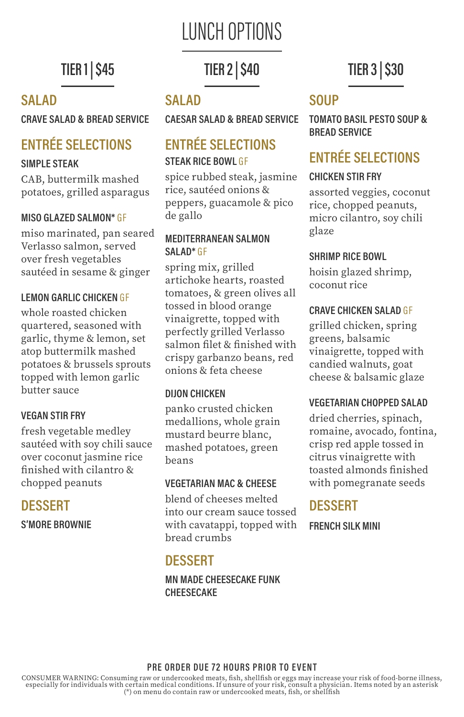# LUNCH OPTIONS

# **TIER 1 | \$45**

# SALAD

CRAVE SALAD & BREAD SERVICE

# ENTRÉE SELECTIONS

# SIMPLE STEAK

CAB, buttermilk mashed potatoes, grilled asparagus

# MISO GLAZED SALMON\* GF

miso marinated, pan seared Verlasso salmon, served over fresh vegetables sautéed in sesame & ginger

# LEMON GARLIC CHICKEN GF

whole roasted chicken quartered, seasoned with garlic, thyme & lemon, set atop buttermilk mashed potatoes & brussels sprouts topped with lemon garlic butter sauce

# VEGAN STIR FRY

fresh vegetable medley sautéed with soy chili sauce over coconut jasmine rice finished with cilantro & chopped peanuts

# DESSERT

S'MORE BROWNIE

# TIER 2 | \$40

# SALAD

CAESAR SALAD & BREAD SERVICE

# ENTRÉE SELECTIONS STEAK RICE BOWL GF

spice rubbed steak, jasmine rice, sautéed onions & peppers, guacamole & pico de gallo

## MEDITERRANEAN SALMON SALAD<sup>\*</sup> GF

spring mix, grilled artichoke hearts, roasted tomatoes, & green olives all tossed in blood orange vinaigrette, topped with perfectly grilled Verlasso salmon filet & finished with crispy garbanzo beans, red onions & feta cheese

# DIJON CHICKEN

panko crusted chicken medallions, whole grain mustard beurre blanc, mashed potatoes, green beans

# VEGETARIAN MAC & CHEESE

blend of cheeses melted into our cream sauce tossed with cavatappi, topped with bread crumbs

# **DESSERT**

MN MADE CHEESECAKE FUNK CHEESECAKE

# TIER 3 | \$30

# **SOUP**

TOMATO BASIL PESTO SOUP & BREAD SERVICE

# ENTRÉE SELECTIONS

# CHICKEN STIR FRY

assorted veggies, coconut rice, chopped peanuts, micro cilantro, soy chili glaze

## SHRIMP RICE BOWL

hoisin glazed shrimp, coconut rice

# CRAVE CHICKEN SALAD GF

grilled chicken, spring greens, balsamic vinaigrette, topped with candied walnuts, goat cheese & balsamic glaze

# VEGETARIAN CHOPPED SALAD

dried cherries, spinach, romaine, avocado, fontina, crisp red apple tossed in citrus vinaigrette with toasted almonds finished with pomegranate seeds

# DESSERT

FRENCH SILK MINI

### PRE ORDER DUE 72 HOURS PRIOR TO EVENT

CONSUMER WARNING: Consuming raw or undercooked meats, fish, shellfish or eggs may increase your risk of food-borne illness, especially for individuals with certain medical conditions. If unsure of your risk, consult a physician. Items noted by an asterisk<br>(\*) on menu do contain raw or undercooked meats, fish, or shellfish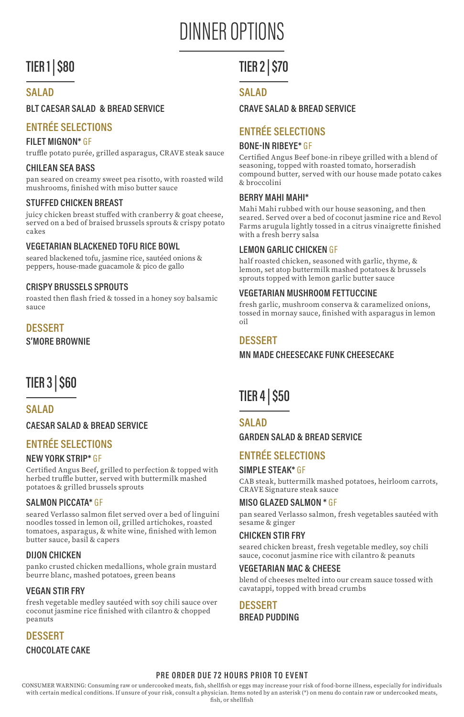# DINNER OPTIONS

# TIER 1 | \$80

### SAI AD

#### BLT CAESAR SALAD & BREAD SERVICE

# ENTRÉE SELECTIONS

#### FILET MIGNON\* GF

truffle potato purée, grilled asparagus, CRAVE steak sauce

#### CHILEAN SEA BASS

pan seared on creamy sweet pea risotto, with roasted wild mushrooms, finished with miso butter sauce

#### STUFFED CHICKEN BREAST

juicy chicken breast stuffed with cranberry & goat cheese, served on a bed of braised brussels sprouts & crispy potato cakes

#### VEGETARIAN BLACKENED TOFU RICE BOWL

seared blackened tofu, jasmine rice, sautéed onions & peppers, house-made guacamole & pico de gallo

#### CRISPY BRUSSELS SPROUTS

roasted then flash fried & tossed in a honey soy balsamic sauce

# DESSERT

S'MORE BROWNIE

# TIER 3 | \$60

### SAI AD

CAESAR SALAD & BREAD SERVICE

### ENTRÉE SELECTIONS

#### NEW YORK STRIP\* GF

Certified Angus Beef, grilled to perfection & topped with herbed truffle butter, served with buttermilk mashed potatoes & grilled brussels sprouts

#### SALMON PICCATA\* GF

seared Verlasso salmon filet served over a bed of linguini noodles tossed in lemon oil, grilled artichokes, roasted tomatoes, asparagus, & white wine, finished with lemon butter sauce, basil & capers

#### DIJON CHICKEN

panko crusted chicken medallions, whole grain mustard beurre blanc, mashed potatoes, green beans

#### VEGAN STIR FRY

fresh vegetable medley sautéed with soy chili sauce over coconut jasmine rice finished with cilantro & chopped peanuts

DESSERT CHOCOLATE CAKE

# TIER 2 | \$70

#### SAI AD

#### CRAVE SALAD & BREAD SERVICE

# ENTRÉE SELECTIONS

#### BONE-IN RIBEYE\* GF

Certified Angus Beef bone-in ribeye grilled with a blend of seasoning, topped with roasted tomato, horseradish compound butter, served with our house made potato cakes & broccolini

#### BERRY MAHI MAHI\*

Mahi Mahi rubbed with our house seasoning, and then seared. Served over a bed of coconut jasmine rice and Revol Farms arugula lightly tossed in a citrus vinaigrette finished with a fresh berry salsa

#### LEMON GARLIC CHICKEN GF

half roasted chicken, seasoned with garlic, thyme, & lemon, set atop buttermilk mashed potatoes & brussels sprouts topped with lemon garlic butter sauce

#### VEGETARIAN MUSHROOM FETTUCCINE

fresh garlic, mushroom conserva & caramelized onions, tossed in mornay sauce, finished with asparagus in lemon oil

### DESSERT

#### MN MADE CHEESECAKE FUNK CHEESECAKE

# **TIER 4 | \$50**

#### SAI AD

#### GARDEN SALAD & BREAD SERVICE

## ENTRÉE SELECTIONS

#### SIMPLE STEAK\* GF

CAB steak, buttermilk mashed potatoes, heirloom carrots, CRAVE Signature steak sauce

#### MISO GLAZED SALMON \* GF

pan seared Verlasso salmon, fresh vegetables sautéed with sesame & ginger

#### CHICKEN STIR FRY

seared chicken breast, fresh vegetable medley, soy chili sauce, coconut jasmine rice with cilantro & peanuts

#### VEGETARIAN MAC & CHEESE

blend of cheeses melted into our cream sauce tossed with cavatappi, topped with bread crumbs

DESSERT BREAD PUDDING

#### PRE ORDER DUE 72 HOURS PRIOR TO EVENT

CONSUMER WARNING: Consuming raw or undercooked meats, fish, shellfish or eggs may increase your risk of food-borne illness, especially for individuals with certain medical conditions. If unsure of your risk, consult a physician. Items noted by an asterisk (\*) on menu do contain raw or undercooked meats, fish, or shellfish